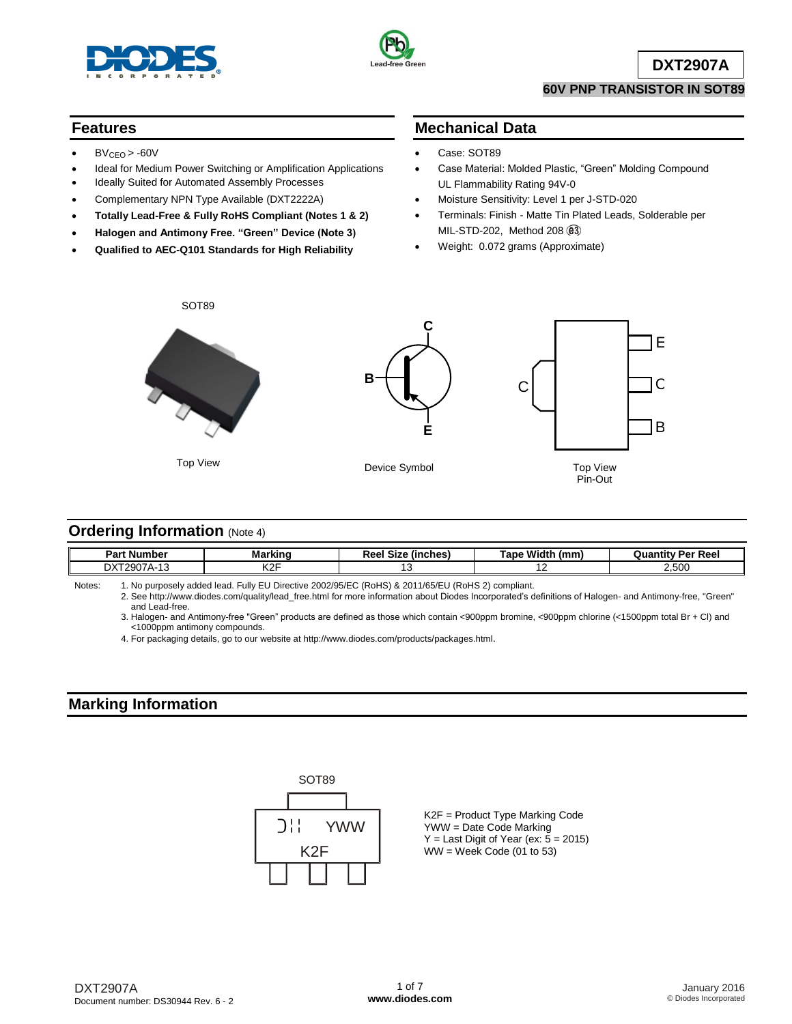



**DXT2907A**

#### **60V PNP TRANSISTOR IN SOT89**

#### **Features**

- $BV<sub>CEO</sub> > -60V$
- Ideal for Medium Power Switching or Amplification Applications
- Ideally Suited for Automated Assembly Processes
- Complementary NPN Type Available (DXT2222A)
- **Totally Lead-Free & Fully RoHS Compliant (Notes 1 & 2)**
- **Halogen and Antimony Free. "Green" Device (Note 3)**
- **Qualified to AEC-Q101 Standards for High Reliability**

### **Mechanical Data**

- Case: SOT89
- Case Material: Molded Plastic, "Green" Molding Compound UL Flammability Rating 94V-0
- Moisture Sensitivity: Level 1 per J-STD-020
- Terminals: Finish Matte Tin Plated Leads, Solderable per MIL-STD-202, Method 208
- Weight: 0.072 grams (Approximate)



### **Ordering Information (Note 4)**

| <b>Part Number</b> | Marking                               | (inches)<br>.<br>ыzе<br>7CC. | <b>A</b><br>Width<br>⊺ano<br>(mm | <sup>,</sup> Per Reel<br>Quantit |
|--------------------|---------------------------------------|------------------------------|----------------------------------|----------------------------------|
| ־צכ<br>טו          | 170F<br>$\overline{\phantom{a}}$<br>◝ |                              | . .                              | 500<br>2.000                     |

Notes: 1. No purposely added lead. Fully EU Directive 2002/95/EC (RoHS) & 2011/65/EU (RoHS 2) compliant.

2. See [http://www.diodes.com/quality/lead\\_free.html](http://www.diodes.com/quality/lead_free.html) for more information about Diodes Incorporated's definitions of Halogen- and Antimony-free, "Green" and Lead-free.

3. Halogen- and Antimony-free "Green" products are defined as those which contain <900ppm bromine, <900ppm chlorine (<1500ppm total Br + Cl) and <1000ppm antimony compounds.

4. For packaging details, go to our website at<http://www.diodes.com/products/packages.html>.

## **Marking Information**



K2F = Product Type Marking Code YWW = Date Code Marking  $Y =$  Last Digit of Year (ex:  $\bar{5} = 2015$ )  $WW =$  Week Code (01 to 53)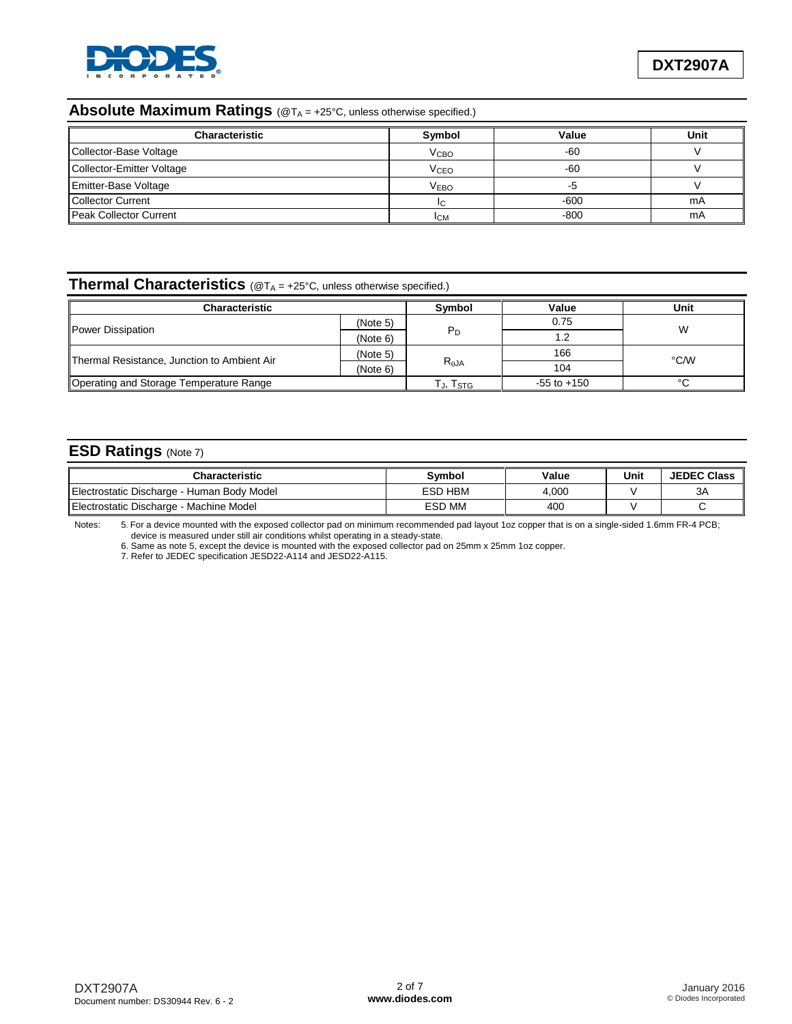

## **Absolute Maximum Ratings** (@TA = +25°C, unless otherwise specified.)

| <b>Characteristic</b>         | Symbol                 | Value  | Unit |
|-------------------------------|------------------------|--------|------|
| Collector-Base Voltage        | <b>V<sub>CВО</sub></b> | $-60$  |      |
| Collector-Emitter Voltage     | V <sub>CEO</sub>       | -60    |      |
| Emitter-Base Voltage          | <b>VEBO</b>            |        |      |
| <b>Collector Current</b>      | IC                     | $-600$ | mA   |
| <b>Peak Collector Current</b> | <b>ICM</b>             | $-800$ | mA   |

# **Thermal Characteristics** (@T<sup>A</sup> = +25°C, unless otherwise specified.)

| <b>Characteristic</b>                       | Svmbol   | Value           | Unit        |      |  |
|---------------------------------------------|----------|-----------------|-------------|------|--|
| Power Dissipation                           | (Note 5) |                 | 0.75        | W    |  |
|                                             | (Note 6) | P <sub>D</sub>  | 1.2         |      |  |
| Thermal Resistance, Junction to Ambient Air | (Note 5) |                 | 166         | °C/W |  |
|                                             | (Note 6) | $R_{\theta$ JA  | 104         |      |  |
| Operating and Storage Temperature Range     | Гյ, Tsтg | $-55$ to $+150$ | $\sim$<br>◡ |      |  |

## **ESD Ratings** (Note 7)

| <b>Characteristic</b>                      | <b>Symbol</b> | Value | Unit | <b>JEDEC Class</b> |
|--------------------------------------------|---------------|-------|------|--------------------|
| Electrostatic Discharge - Human Body Model | ESD HBM       | 4,000 |      | ЗA                 |
| Electrostatic Discharge - Machine Model    | <b>ESD MM</b> | 400   |      |                    |

Notes: 5. For a device mounted with the exposed collector pad on minimum recommended pad layout 1oz copper that is on a single-sided 1.6mm FR-4 PCB; device is measured under still air conditions whilst operating in a steady-state.

6. Same as note 5, except the device is mounted with the exposed collector pad on 25mm x 25mm 1oz copper.

7. Refer to JEDEC specification JESD22-A114 and JESD22-A115.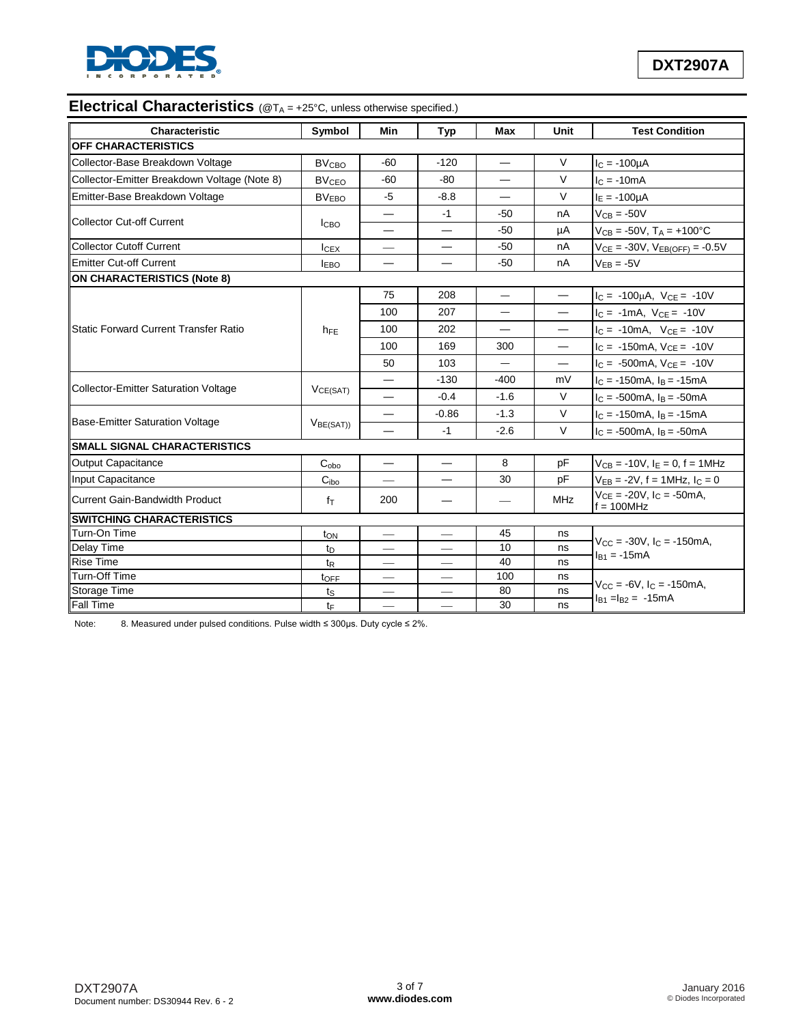

# **Electrical Characteristics** (@T<sub>A</sub> = +25°C, unless otherwise specified.)

| Characteristic                               | Symbol                  | Min                              | Typ                            | Max                      | Unit                     | <b>Test Condition</b>                                  |  |
|----------------------------------------------|-------------------------|----------------------------------|--------------------------------|--------------------------|--------------------------|--------------------------------------------------------|--|
| OFF CHARACTERISTICS                          |                         |                                  |                                |                          |                          |                                                        |  |
| Collector-Base Breakdown Voltage             | <b>BV<sub>CBO</sub></b> | $-60$                            | $-120$                         |                          | $\vee$                   | $I_C = -100\mu A$                                      |  |
| Collector-Emitter Breakdown Voltage (Note 8) | <b>BV<sub>CEO</sub></b> | $-60$                            | $-80$                          |                          | V                        | $IC = -10mA$                                           |  |
| Emitter-Base Breakdown Voltage               | <b>BV<sub>EBO</sub></b> | $-5$                             | $-8.8$                         |                          | $\vee$                   | $I_F = -100 \mu A$                                     |  |
|                                              |                         |                                  | $-1$                           | -50                      | nA                       | $V_{CB} = -50V$                                        |  |
| <b>Collector Cut-off Current</b>             | <b>ICBO</b>             |                                  |                                | $-50$                    | μA                       | $V_{CB} = -50V$ , $T_A = +100^{\circ}C$                |  |
| <b>Collector Cutoff Current</b>              | $I_{CEX}$               |                                  |                                | $-50$                    | nA                       | $V_{CE} = -30V$ , $V_{EB(OFF)} = -0.5V$                |  |
| <b>Emitter Cut-off Current</b>               | <b>IEBO</b>             | —                                |                                | -50                      | nA                       | $V_{EB} = -5V$                                         |  |
| <b>ON CHARACTERISTICS (Note 8)</b>           |                         |                                  |                                |                          |                          |                                                        |  |
|                                              |                         | 75                               | 208                            | $\overline{\phantom{0}}$ | $\overline{\phantom{0}}$ | $I_C = -100\mu A$ , $V_{CE} = -10V$                    |  |
|                                              |                         | 100                              | 207                            |                          | $\overline{\phantom{0}}$ | $I_C = -1mA$ , $V_{CE} = -10V$                         |  |
| <b>Static Forward Current Transfer Ratio</b> | $h_{FE}$                | 100                              | 202                            |                          |                          | $I_C = -10mA$ , $V_{CE} = -10V$                        |  |
|                                              |                         | 100                              | 169                            | 300                      |                          | $I_C = -150mA$ , $V_{CE} = -10V$                       |  |
|                                              |                         | 50                               | 103                            |                          |                          | $I_C = -500mA, V_{CE} = -10V$                          |  |
|                                              | VCE(SAT)                |                                  | $-130$                         | $-400$                   | mV                       | $I_C = -150mA$ , $I_B = -15mA$                         |  |
| <b>Collector-Emitter Saturation Voltage</b>  |                         | $\overline{\phantom{0}}$         | $-0.4$                         | $-1.6$                   | $\vee$                   | $I_C = -500 \text{mA}$ , $I_B = -50 \text{mA}$         |  |
|                                              | V <sub>BE(SAT)</sub>    | $\overline{\phantom{0}}$         | $-0.86$                        | $-1.3$                   | $\vee$                   | $I_C = -150 \text{mA}$ , $I_B = -15 \text{mA}$         |  |
| <b>Base-Emitter Saturation Voltage</b>       |                         |                                  | $-1$                           | $-2.6$                   | $\vee$                   | $I_C = -500 \text{mA}$ , $I_B = -50 \text{mA}$         |  |
| <b>SMALL SIGNAL CHARACTERISTICS</b>          |                         |                                  |                                |                          |                          |                                                        |  |
| <b>Output Capacitance</b>                    | $C_{\rm obo}$           | $\overbrace{\phantom{12321111}}$ |                                | 8                        | pF                       | $V_{CB} = -10V$ , $I_E = 0$ , $f = 1MHz$               |  |
| Input Capacitance                            | C <sub>ibo</sub>        |                                  |                                | 30                       | pF                       | $V_{EB} = -2V$ , f = 1MHz, $I_C = 0$                   |  |
| <b>Current Gain-Bandwidth Product</b>        | $f_{\text{T}}$          | 200                              |                                |                          | <b>MHz</b>               | $V_{CE} = -20V$ , $I_C = -50mA$ ,<br>$f = 100$ MHz     |  |
| <b>SWITCHING CHARACTERISTICS</b>             |                         |                                  |                                |                          |                          |                                                        |  |
| Turn-On Time                                 | ton                     |                                  |                                | 45                       | ns                       | $V_{CC} = -30V$ , $I_C = -150$ mA,<br>$I_{B1} = -15mA$ |  |
| Delay Time                                   | t <sub>D</sub>          | $\overline{\phantom{0}}$         |                                | 10                       | ns                       |                                                        |  |
| <b>Rise Time</b>                             | t <sub>R</sub>          | $\overbrace{\phantom{12333}}$    | $\overbrace{\phantom{13333}}$  | 40                       | ns                       |                                                        |  |
| Turn-Off Time                                | toFF                    | $\overbrace{\phantom{12333}}$    | $\qquad \qquad \longleftarrow$ | 100                      | ns                       | $V_{CC} = -6V$ , $I_C = -150$ mA,                      |  |
| Storage Time                                 | ts                      | $\overline{\phantom{0}}$         |                                | 80                       | ns                       | $I_{B1} = I_{B2} = -15mA$                              |  |
| Fall Time                                    | $t_{\text{F}}$          |                                  |                                | 30                       | ns                       |                                                        |  |

Note: 8. Measured under pulsed conditions. Pulse width ≤ 300µs. Duty cycle ≤ 2%.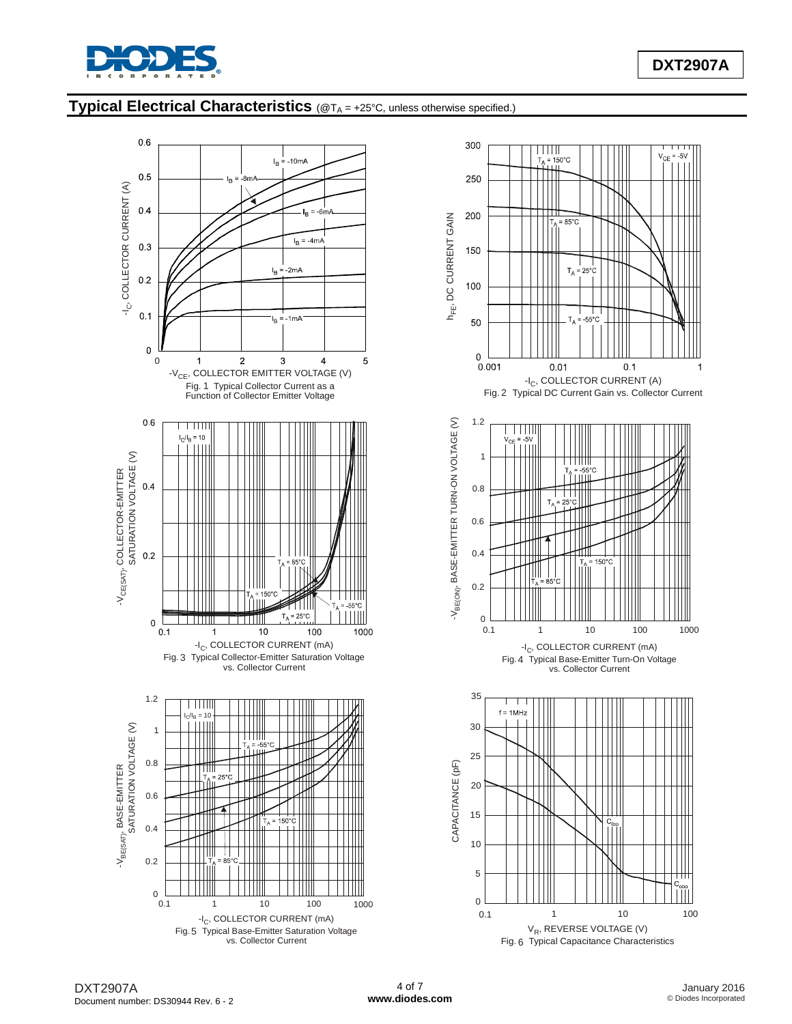

## **Typical Electrical Characteristics** (@T<sup>A</sup> = +25°C, unless otherwise specified.)



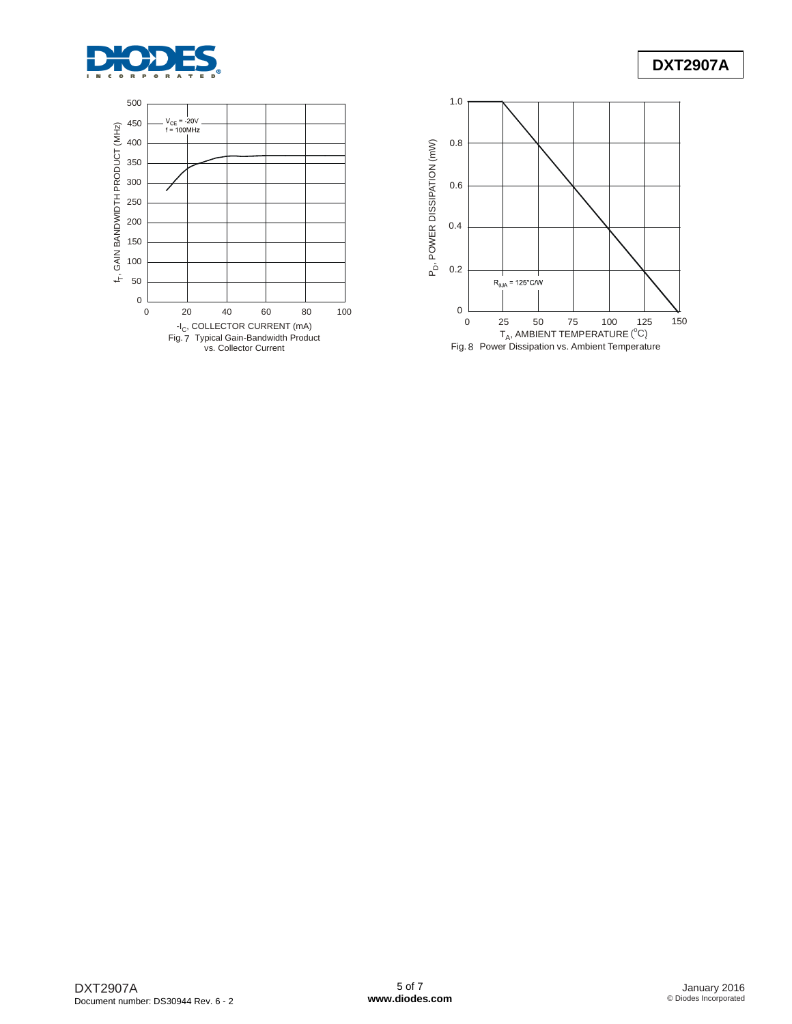



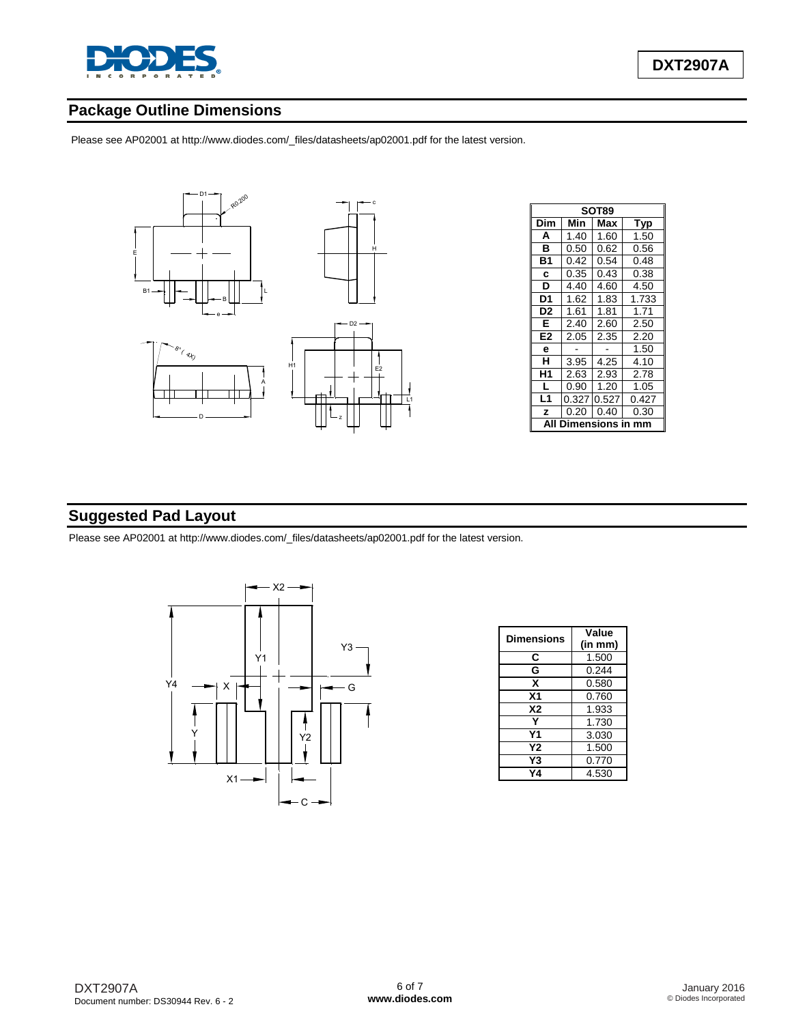

# **Package Outline Dimensions**

Please see AP02001 at [http://www.diodes.com/\\_files/datasheets/ap02001.pdf fo](http://www.diodes.com/_files/datasheets/ap02001.pdf)r the latest version.



|                | SOT89       |       |       |  |  |  |
|----------------|-------------|-------|-------|--|--|--|
| Dim            | Min         | Max   | Typ   |  |  |  |
| A              | 1.40        | 1.60  | 1.50  |  |  |  |
| в              | 0.50        | 0.62  | 0.56  |  |  |  |
| Β1             | 0.42        | 0.54  | 0.48  |  |  |  |
| C              | 0.35        | 0.43  | 0.38  |  |  |  |
| D              | 4.40        | 4.60  | 4.50  |  |  |  |
| D1             | 1.62        | 1.83  | 1.733 |  |  |  |
| D <sub>2</sub> | 1.61        | 1.81  | 1.71  |  |  |  |
| Е              | 2.40        | 2.60  | 2.50  |  |  |  |
| E <sub>2</sub> | 2.05        | 2.35  | 2.20  |  |  |  |
| e              |             |       | 1.50  |  |  |  |
| н              | 3.95        | 4.25  | 4.10  |  |  |  |
| Η1             | 2.63        | 2.93  | 2.78  |  |  |  |
| L              | 0.90        | 1.20  | 1.05  |  |  |  |
| L1             | 0.327       | 0.527 | 0.427 |  |  |  |
| z              | 0.20        | 0.40  | 0.30  |  |  |  |
|                | nensions in |       |       |  |  |  |

# **Suggested Pad Layout**

Please see AP02001 at [http://www.diodes.com/\\_files/datasheets/ap02001.pdf fo](http://www.diodes.com/_files/datasheets/ap02001.pdf)r the latest version.



| Dimensions | Value<br>(in mm) |  |  |
|------------|------------------|--|--|
| C          | 1.500            |  |  |
| G          | 0.244            |  |  |
| x          | 0.580            |  |  |
| Χ1         | 0.760            |  |  |
| Х2         | 1.933            |  |  |
|            | 1.730            |  |  |
| Υ1         | 3.030            |  |  |
| Υ2         | 1.500            |  |  |
| Y3         | 0.770            |  |  |
| 74         | 4.530            |  |  |